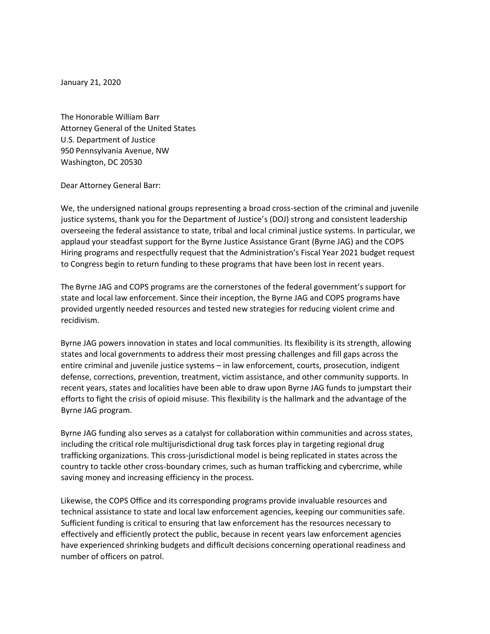January 21, 2020

The Honorable William Barr Attorney General of the United States U.S. Department of Justice 950 Pennsylvania Avenue, NW Washington, DC 20530

Dear Attorney General Barr:

We, the undersigned national groups representing a broad cross-section of the criminal and juvenile justice systems, thank you for the Department of Justice's (DOJ) strong and consistent leadership overseeing the federal assistance to state, tribal and local criminal justice systems. In particular, we applaud your steadfast support for the Byrne Justice Assistance Grant (Byrne JAG) and the COPS Hiring programs and respectfully request that the Administration's Fiscal Year 2021 budget request to Congress begin to return funding to these programs that have been lost in recent years.

The Byrne JAG and COPS programs are the cornerstones of the federal government's support for state and local law enforcement. Since their inception, the Byrne JAG and COPS programs have provided urgently needed resources and tested new strategies for reducing violent crime and recidivism.

Byrne JAG powers innovation in states and local communities. Its flexibility is its strength, allowing states and local governments to address their most pressing challenges and fill gaps across the entire criminal and juvenile justice systems – in law enforcement, courts, prosecution, indigent defense, corrections, prevention, treatment, victim assistance, and other community supports. In recent years, states and localities have been able to draw upon Byrne JAG funds to jumpstart their efforts to fight the crisis of opioid misuse. This flexibility is the hallmark and the advantage of the Byrne JAG program.

Byrne JAG funding also serves as a catalyst for collaboration within communities and across states, including the critical role multijurisdictional drug task forces play in targeting regional drug trafficking organizations. This cross-jurisdictional model is being replicated in states across the country to tackle other cross-boundary crimes, such as human trafficking and cybercrime, while saving money and increasing efficiency in the process.

Likewise, the COPS Office and its corresponding programs provide invaluable resources and technical assistance to state and local law enforcement agencies, keeping our communities safe.  Sufficient funding is critical to ensuring that law enforcement has the resources necessary to effectively and efficiently protect the public, because in recent years law enforcement agencies have experienced shrinking budgets and difficult decisions concerning operational readiness and number of officers on patrol.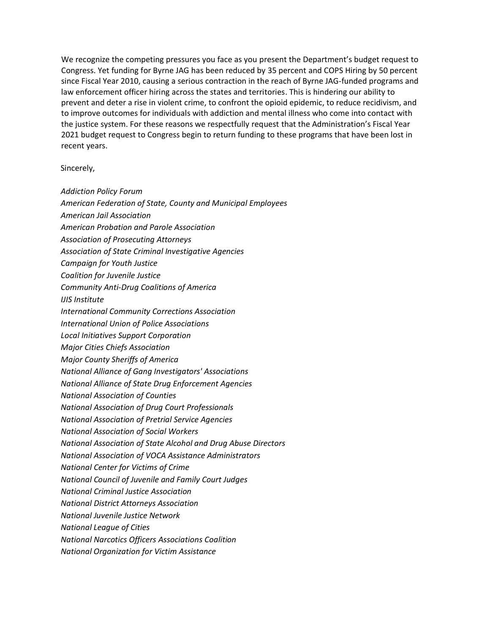We recognize the competing pressures you face as you present the Department's budget request to Congress. Yet funding for Byrne JAG has been reduced by 35 percent and COPS Hiring by 50 percent since Fiscal Year 2010, causing a serious contraction in the reach of Byrne JAG-funded programs and law enforcement officer hiring across the states and territories. This is hindering our ability to prevent and deter a rise in violent crime, to confront the opioid epidemic, to reduce recidivism, and to improve outcomes for individuals with addiction and mental illness who come into contact with the justice system. For these reasons we respectfully request that the Administration's Fiscal Year 2021 budget request to Congress begin to return funding to these programs that have been lost in recent years.

Sincerely,

- *Addiction Policy Forum*
- *American Federation of State, County and Municipal Employees*
- *American Jail Association*
- *American Probation and Parole Association*
- *Association of Prosecuting Attorneys*
- *Association of State Criminal Investigative Agencies*
- *Campaign for Youth Justice*
- *Coalition for Juvenile Justice*
- *Community Anti-Drug Coalitions of America*
- *IJIS Institute*
- *International Community Corrections Association*
- *International Union of Police Associations*
- *Local Initiatives Support Corporation*
- *Major Cities Chiefs Association*
- *Major County Sheriffs of America*
- *National Alliance of Gang Investigators' Associations*
- *National Alliance of State Drug Enforcement Agencies*
- *National Association of Counties*
- *National Association of Drug Court Professionals*
- *National Association of Pretrial Service Agencies*
- *National Association of Social Workers*
- *National Association of State Alcohol and Drug Abuse Directors*
- *National Association of VOCA Assistance Administrators*
- *National Center for Victims of Crime*
- *National Council of Juvenile and Family Court Judges*
- *National Criminal Justice Association*
- *National District Attorneys Association*
- *National Juvenile Justice Network*
- *National League of Cities*
- *National Narcotics Officers Associations Coalition*
- *National Organization for Victim Assistance*